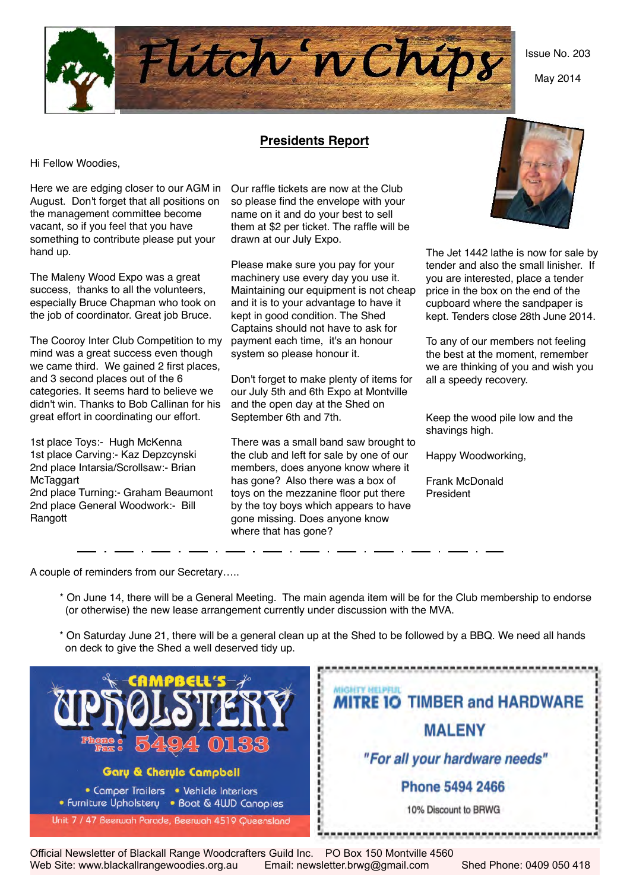

May 2014



# **Presidents Report**

Hi Fellow Woodies,

Here we are edging closer to our AGM in Our raffle tickets are now at the Club August. Don't forget that all positions on the management committee become vacant, so if you feel that you have something to contribute please put your hand up.

The Maleny Wood Expo was a great success, thanks to all the volunteers, especially Bruce Chapman who took on the job of coordinator. Great job Bruce.

The Cooroy Inter Club Competition to my mind was a great success even though we came third. We gained 2 first places. and 3 second places out of the 6 categories. It seems hard to believe we didn't win. Thanks to Bob Callinan for his great effort in coordinating our effort.

1st place Toys:- Hugh McKenna 1st place Carving:- Kaz Depzcynski 2nd place Intarsia/Scrollsaw:- Brian **McTaggart** 2nd place Turning:- Graham Beaumont 2nd place General Woodwork:- Bill Rangott

so please find the envelope with your name on it and do your best to sell them at \$2 per ticket. The raffle will be drawn at our July Expo.

Please make sure you pay for your machinery use every day you use it. Maintaining our equipment is not cheap and it is to your advantage to have it kept in good condition. The Shed Captains should not have to ask for payment each time, it's an honour system so please honour it.

Don't forget to make plenty of items for our July 5th and 6th Expo at Montville and the open day at the Shed on September 6th and 7th.

There was a small band saw brought to the club and left for sale by one of our members, does anyone know where it has gone? Also there was a box of toys on the mezzanine floor put there by the toy boys which appears to have gone missing. Does anyone know where that has gone?



The Jet 1442 lathe is now for sale by tender and also the small linisher. If you are interested, place a tender price in the box on the end of the cupboard where the sandpaper is kept. Tenders close 28th June 2014.

To any of our members not feeling the best at the moment, remember we are thinking of you and wish you all a speedy recovery.

Keep the wood pile low and the shavings high.

Happy Woodworking,

Frank McDonald President

A couple of reminders from our Secretary…..

- \* On June 14, there will be a General Meeting. The main agenda item will be for the Club membership to endorse (or otherwise) the new lease arrangement currently under discussion with the MVA.
- \* On Saturday June 21, there will be a general clean up at the Shed to be followed by a BBQ. We need all hands on deck to give the Shed a well deserved tidy up.



Official Newsletter of Blackall Range Woodcrafters Guild Inc. PO Box 150 Montville 4560 Web Site: www.blackallrangewoodies.org.au Email: newsletter.brwg@gmail.com Shed Phone: 0409 050 418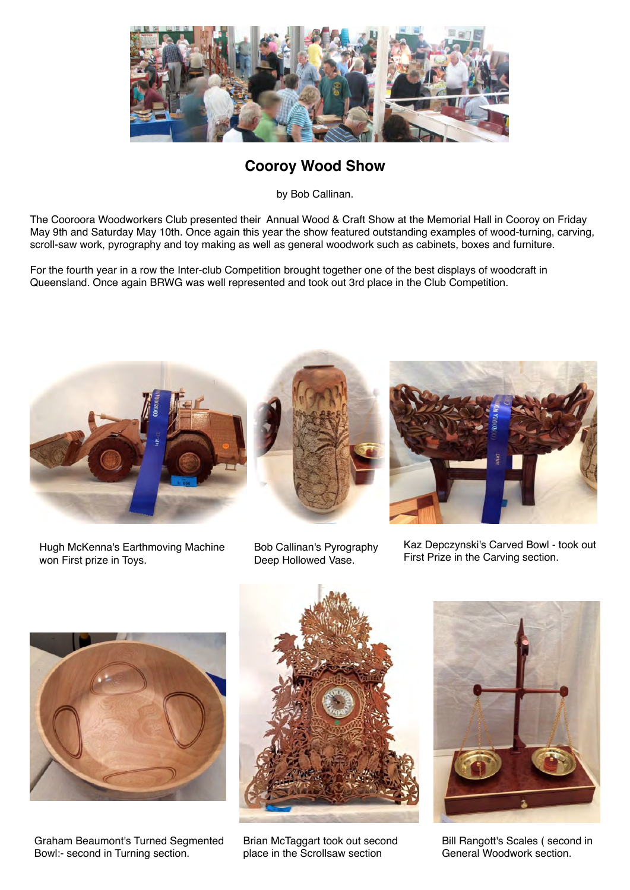

# **Cooroy Wood Show**

by Bob Callinan.

The Cooroora Woodworkers Club presented their Annual Wood & Craft Show at the Memorial Hall in Cooroy on Friday May 9th and Saturday May 10th. Once again this year the show featured outstanding examples of wood-turning, carving, scroll-saw work, pyrography and toy making as well as general woodwork such as cabinets, boxes and furniture.

For the fourth year in a row the Inter-club Competition brought together one of the best displays of woodcraft in Queensland. Once again BRWG was well represented and took out 3rd place in the Club Competition.



Hugh McKenna's Earthmoving Machine won First prize in Toys.



Bob Callinan's Pyrography Deep Hollowed Vase.



Kaz Depczynski's Carved Bowl - took out First Prize in the Carving section.



Graham Beaumont's Turned Segmented Bowl:- second in Turning section.



Brian McTaggart took out second place in the Scrollsaw section



Bill Rangott's Scales ( second in General Woodwork section.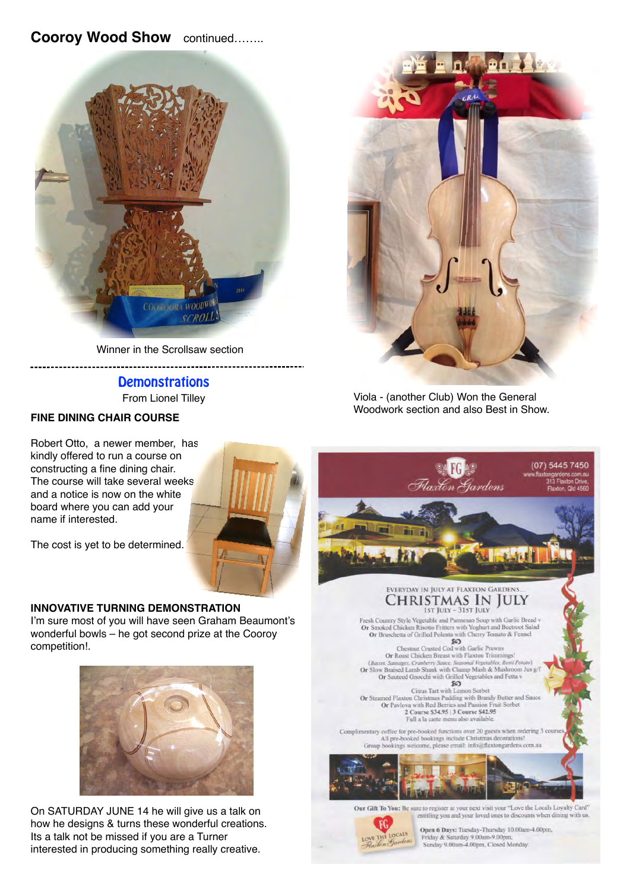# **Cooroy Wood Show** continued……..



Winner in the Scrollsaw section -----------------------------

-------------

# **Demonstrations** From Lionel Tilley

# **FINE DINING CHAIR COURSE**

-----------

Robert Otto, a newer member, has kindly offered to run a course on constructing a fine dining chair. The course will take several weeks and a notice is now on the white board where you can add your name if interested.

The cost is yet to be determined.

# **INNOVATIVE TURNING DEMONSTRATION**

I'm sure most of you will have seen Graham Beaumont's wonderful bowls – he got second prize at the Cooroy competition!.



On SATURDAY JUNE 14 he will give us a talk on how he designs & turns these wonderful creations. Its a talk not be missed if you are a Turner interested in producing something really creative.



Viola - (another Club) Won the General Woodwork section and also Best in Show.

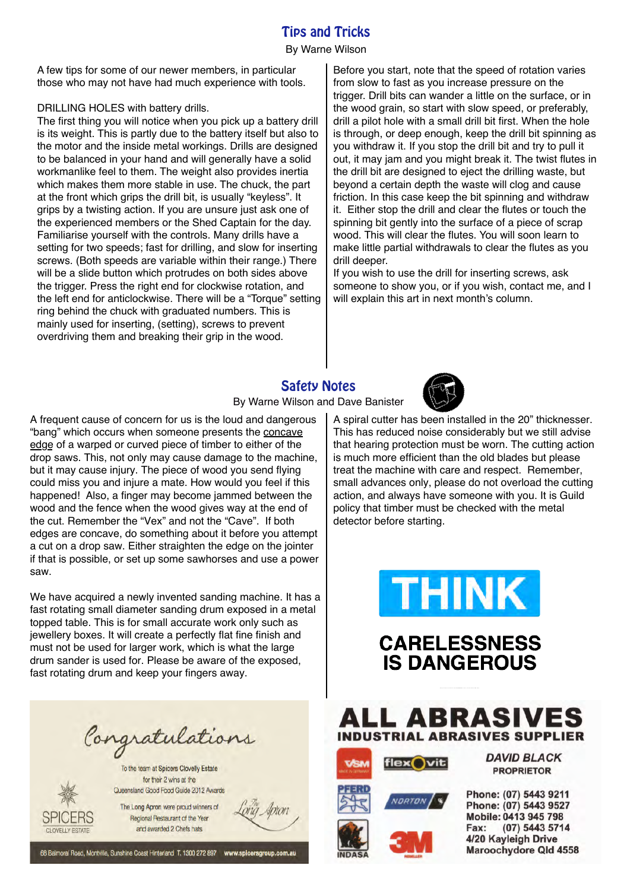# Tips and Tricks

#### By Warne Wilson

A few tips for some of our newer members, in particular those who may not have had much experience with tools.

#### DRILLING HOLES with battery drills.

The first thing you will notice when you pick up a battery drill is its weight. This is partly due to the battery itself but also to the motor and the inside metal workings. Drills are designed to be balanced in your hand and will generally have a solid workmanlike feel to them. The weight also provides inertia which makes them more stable in use. The chuck, the part at the front which grips the drill bit, is usually "keyless". It grips by a twisting action. If you are unsure just ask one of the experienced members or the Shed Captain for the day. Familiarise yourself with the controls. Many drills have a setting for two speeds; fast for drilling, and slow for inserting screws. (Both speeds are variable within their range.) There will be a slide button which protrudes on both sides above the trigger. Press the right end for clockwise rotation, and the left end for anticlockwise. There will be a "Torque" setting ring behind the chuck with graduated numbers. This is mainly used for inserting, (setting), screws to prevent overdriving them and breaking their grip in the wood.

Before you start, note that the speed of rotation varies from slow to fast as you increase pressure on the trigger. Drill bits can wander a little on the surface, or in the wood grain, so start with slow speed, or preferably, drill a pilot hole with a small drill bit first. When the hole is through, or deep enough, keep the drill bit spinning as you withdraw it. If you stop the drill bit and try to pull it out, it may jam and you might break it. The twist flutes in the drill bit are designed to eject the drilling waste, but beyond a certain depth the waste will clog and cause friction. In this case keep the bit spinning and withdraw it. Either stop the drill and clear the flutes or touch the spinning bit gently into the surface of a piece of scrap wood. This will clear the flutes. You will soon learn to make little partial withdrawals to clear the flutes as you drill deeper.

If you wish to use the drill for inserting screws, ask someone to show you, or if you wish, contact me, and I will explain this art in next month's column.

# Safety Notes



A frequent cause of concern for us is the loud and dangerous "bang" which occurs when someone presents the concave edge of a warped or curved piece of timber to either of the drop saws. This, not only may cause damage to the machine, but it may cause injury. The piece of wood you send flying could miss you and injure a mate. How would you feel if this happened! Also, a finger may become jammed between the wood and the fence when the wood gives way at the end of the cut. Remember the "Vex" and not the "Cave". If both edges are concave, do something about it before you attempt a cut on a drop saw. Either straighten the edge on the jointer if that is possible, or set up some sawhorses and use a power saw.

We have acquired a newly invented sanding machine. It has a fast rotating small diameter sanding drum exposed in a metal topped table. This is for small accurate work only such as jewellery boxes. It will create a perfectly flat fine finish and must not be used for larger work, which is what the large drum sander is used for. Please be aware of the exposed, fast rotating drum and keep your fingers away.

Congratulations

To the team at Spicers Clovelly Estate for their 2 wins at the Queensland Good Food Guide 2012 Awards

SPICERS

CLOVELLY ESTATE

The Long Apron were proud winners of Regional Restaurant of the Year and awarded 2 Chefs hats

Apron

68 Balmoral Road, Montville, Sunshine Coast Hinterland T. 1300 272 897 www.spicersgroup.com.au



A spiral cutter has been installed in the 20" thicknesser. This has reduced noise considerably but we still advise that hearing protection must be worn. The cutting action is much more efficient than the old blades but please treat the machine with care and respect. Remember, small advances only, please do not overload the cutting action, and always have someone with you. It is Guild policy that timber must be checked with the metal detector before starting.





LL ABRASIVES **INDUSTRIAL ABRASIVES SUPPLIER** 







Phone: (07) 5443 9211 Phone: (07) 5443 9527 Mobile: 0413 945 798 Fax: (07) 5443 5714 4/20 Kayleigh Drive Maroochydore Qld 4558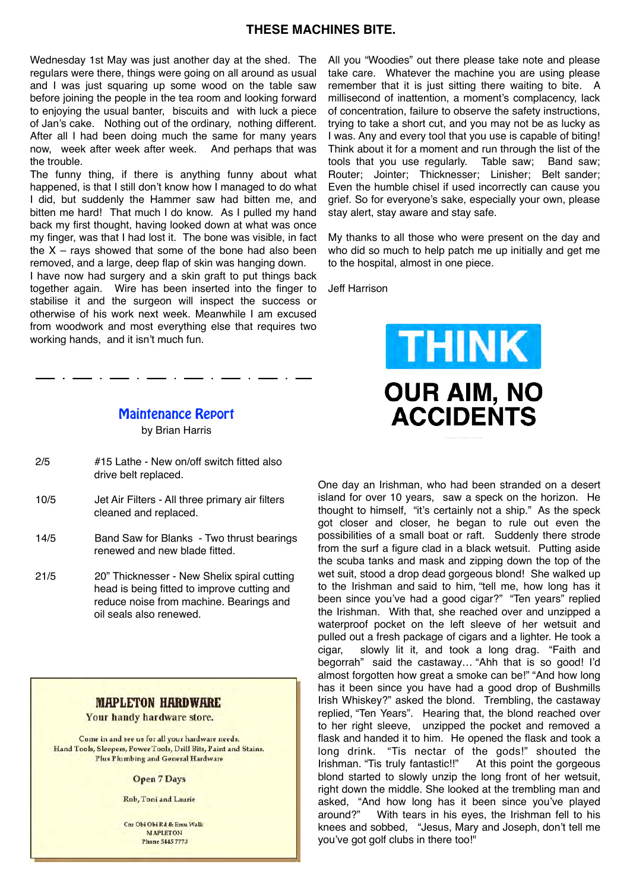# **THESE MACHINES BITE.**

Wednesday 1st May was just another day at the shed. The regulars were there, things were going on all around as usual and I was just squaring up some wood on the table saw before joining the people in the tea room and looking forward to enjoying the usual banter, biscuits and with luck a piece of Jan's cake. Nothing out of the ordinary, nothing different. After all I had been doing much the same for many years now, week after week after week. And perhaps that was the trouble.

The funny thing, if there is anything funny about what happened, is that I still don't know how I managed to do what I did, but suddenly the Hammer saw had bitten me, and bitten me hard! That much I do know. As I pulled my hand back my first thought, having looked down at what was once my finger, was that I had lost it. The bone was visible, in fact the  $X$  – rays showed that some of the bone had also been removed, and a large, deep flap of skin was hanging down.

I have now had surgery and a skin graft to put things back together again. Wire has been inserted into the finger to stabilise it and the surgeon will inspect the success or otherwise of his work next week. Meanwhile I am excused from woodwork and most everything else that requires two working hands, and it isn't much fun.

Maintenance Report

by Brian Harris

- 2/5 #15 Lathe New on/off switch fitted also drive belt replaced.
- 10/5 Jet Air Filters All three primary air filters cleaned and replaced.
- 14/5 Band Saw for Blanks Two thrust bearings renewed and new blade fitted.
- 21/5 20" Thicknesser New Shelix spiral cutting head is being fitted to improve cutting and reduce noise from machine. Bearings and oil seals also renewed.

### **MAPLETON HARDWARE**

Your handy hardware store.

Come in and see us for all your hardware needs. Hand Tools, Sleepers, Power Tools, Drill Bits, Paint and Stains. **Plus Plumbing and General Hardware** 

**Open 7 Days** 

Rob. Toni and Laurie

Cru Obi Obi Rd & Emu Walk **MAPLETON Phone 5445 7773** 

All you "Woodies" out there please take note and please take care. Whatever the machine you are using please remember that it is just sitting there waiting to bite. A millisecond of inattention, a moment's complacency, lack of concentration, failure to observe the safety instructions, trying to take a short cut, and you may not be as lucky as I was. Any and every tool that you use is capable of biting! Think about it for a moment and run through the list of the tools that you use regularly. Table saw; Band saw; Router; Jointer; Thicknesser; Linisher; Belt sander; Even the humble chisel if used incorrectly can cause you grief. So for everyone's sake, especially your own, please stay alert, stay aware and stay safe.

My thanks to all those who were present on the day and who did so much to help patch me up initially and get me to the hospital, almost in one piece.

Jeff Harrison



One day an Irishman, who had been stranded on a desert island for over 10 years, saw a speck on the horizon. He thought to himself, "it's certainly not a ship." As the speck got closer and closer, he began to rule out even the possibilities of a small boat or raft. Suddenly there strode from the surf a figure clad in a black wetsuit. Putting aside the scuba tanks and mask and zipping down the top of the wet suit, stood a drop dead gorgeous blond! She walked up to the Irishman and said to him, "tell me, how long has it been since you've had a good cigar?" "Ten years" replied the Irishman. With that, she reached over and unzipped a waterproof pocket on the left sleeve of her wetsuit and pulled out a fresh package of cigars and a lighter. He took a cigar, slowly lit it, and took a long drag. "Faith and begorrah" said the castaway… "Ahh that is so good! I'd almost forgotten how great a smoke can be!" "And how long has it been since you have had a good drop of Bushmills Irish Whiskey?" asked the blond. Trembling, the castaway replied, "Ten Years". Hearing that, the blond reached over to her right sleeve, unzipped the pocket and removed a flask and handed it to him. He opened the flask and took a long drink. "Tis nectar of the gods!" shouted the Irishman. "Tis truly fantastic!!" At this point the gorgeous blond started to slowly unzip the long front of her wetsuit, right down the middle. She looked at the trembling man and asked, "And how long has it been since you've played around?" With tears in his eyes, the Irishman fell to his knees and sobbed, "Jesus, Mary and Joseph, don't tell me you've got golf clubs in there too!"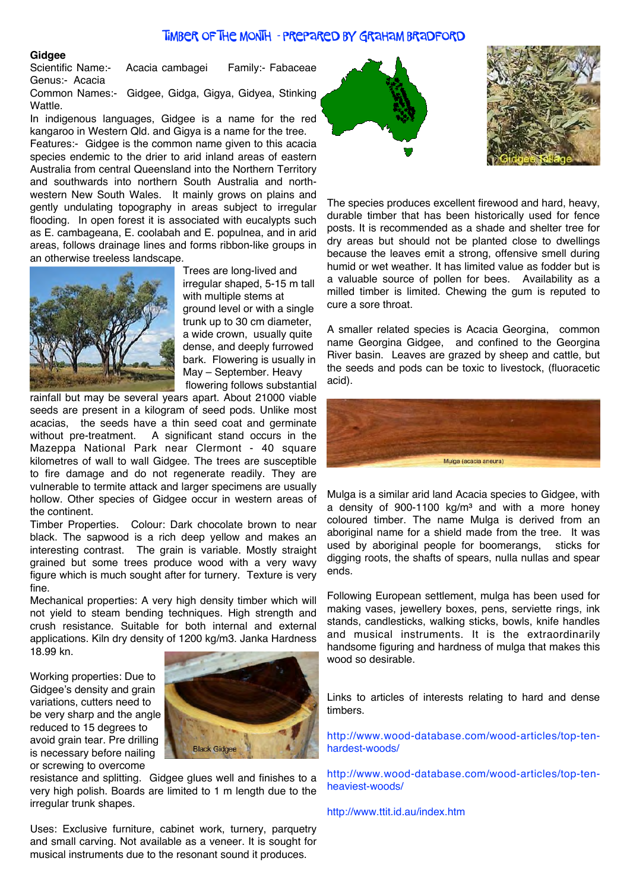#### Timber of the Month - prepared by Graham Bradford

Gidgee<br>Scientific Name:-Acacia cambagei Family:- Fabaceae Genus:- Acacia

Common Names:- Gidgee, Gidga, Gigya, Gidyea, Stinking Wattle.

In indigenous languages, Gidgee is a name for the red kangaroo in Western Qld. and Gigya is a name for the tree.

Features:- Gidgee is the common name given to this acacia species endemic to the drier to arid inland areas of eastern Australia from central Queensland into the Northern Territory and southwards into northern South Australia and northwestern New South Wales. It mainly grows on plains and gently undulating topography in areas subject to irregular flooding. In open forest it is associated with eucalypts such as E. cambageana, E. coolabah and E. populnea, and in arid areas, follows drainage lines and forms ribbon-like groups in an otherwise treeless landscape.



 Trees are long-lived and irregular shaped, 5-15 m tall with multiple stems at ground level or with a single trunk up to 30 cm diameter, a wide crown, usually quite dense, and deeply furrowed bark. Flowering is usually in May – September. Heavy flowering follows substantial

rainfall but may be several years apart. About 21000 viable seeds are present in a kilogram of seed pods. Unlike most acacias, the seeds have a thin seed coat and germinate without pre-treatment. A significant stand occurs in the Mazeppa National Park near Clermont - 40 square kilometres of wall to wall Gidgee. The trees are susceptible to fire damage and do not regenerate readily. They are vulnerable to termite attack and larger specimens are usually hollow. Other species of Gidgee occur in western areas of the continent.

Timber Properties. Colour: Dark chocolate brown to near black. The sapwood is a rich deep yellow and makes an interesting contrast. The grain is variable. Mostly straight grained but some trees produce wood with a very wavy figure which is much sought after for turnery. Texture is very fine.

Mechanical properties: A very high density timber which will not yield to steam bending techniques. High strength and crush resistance. Suitable for both internal and external applications. Kiln dry density of 1200 kg/m3. Janka Hardness 18.99 kn.

Working properties: Due to Gidgee's density and grain variations, cutters need to be very sharp and the angle reduced to 15 degrees to avoid grain tear. Pre drilling is necessary before nailing or screwing to overcome



resistance and splitting. Gidgee glues well and finishes to a very high polish. Boards are limited to 1 m length due to the irregular trunk shapes.

Uses: Exclusive furniture, cabinet work, turnery, parquetry and small carving. Not available as a veneer. It is sought for musical instruments due to the resonant sound it produces.





The species produces excellent firewood and hard, heavy, durable timber that has been historically used for fence posts. It is recommended as a shade and shelter tree for dry areas but should not be planted close to dwellings because the leaves emit a strong, offensive smell during humid or wet weather. It has limited value as fodder but is a valuable source of pollen for bees. Availability as a milled timber is limited. Chewing the gum is reputed to cure a sore throat.

A smaller related species is Acacia Georgina, common name Georgina Gidgee, and confined to the Georgina River basin. Leaves are grazed by sheep and cattle, but the seeds and pods can be toxic to livestock, (fluoracetic acid).



Mulga is a similar arid land Acacia species to Gidgee, with a density of  $900-1100$  kg/m<sup>3</sup> and with a more honey coloured timber. The name Mulga is derived from an aboriginal name for a shield made from the tree. It was used by aboriginal people for boomerangs, sticks for digging roots, the shafts of spears, nulla nullas and spear ends.

Following European settlement, mulga has been used for making vases, jewellery boxes, pens, serviette rings, ink stands, candlesticks, walking sticks, bowls, knife handles and musical instruments. It is the extraordinarily handsome figuring and hardness of mulga that makes this wood so desirable.

Links to articles of interests relating to hard and dense timbers.

http://www.wood-database.com/wood-articles/top-tenhardest-woods/

http://www.wood-database.com/wood-articles/top-tenheaviest-woods/

http://www.ttit.id.au/index.htm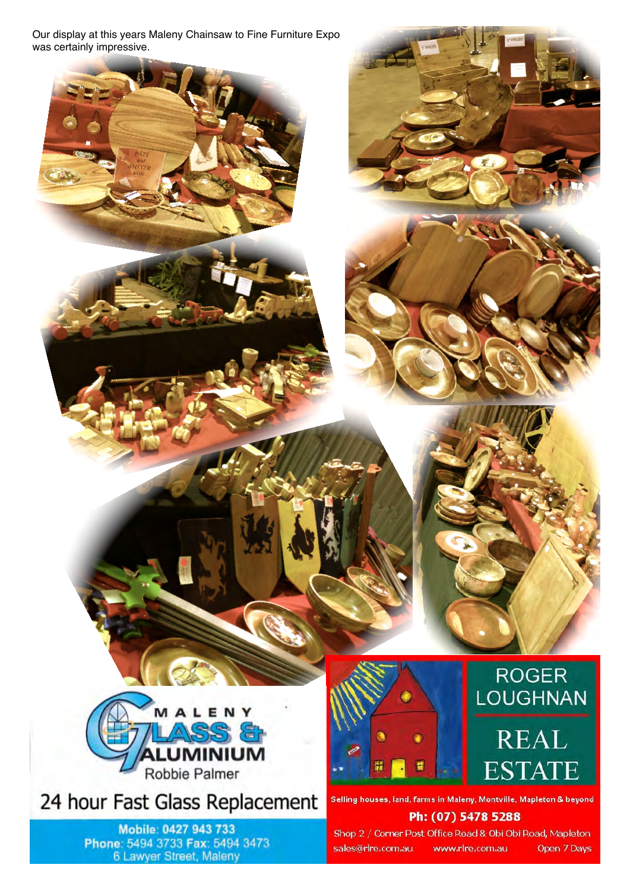Our display at this years Maleny Chainsaw to Fine Furniture Expo was certainly impressive.



24 hour Fast Glass Replacement

Mobile: 0427 943 733 Phone: 5494 3733 Fax: 5494 3473 6 Lawyer Street, Maleny



# **ROGER LOUGHNAN**

# **REAL ESTATE**

Selling houses, land, farms in Maleny, Montville, Mapleton & beyond Ph: (07) 5478 5288

Shop 2 / Corner Post Office Road & Obi Obi Road, Mapleton sales@rlre.com.au www.rlre.com.au Open 7 Days